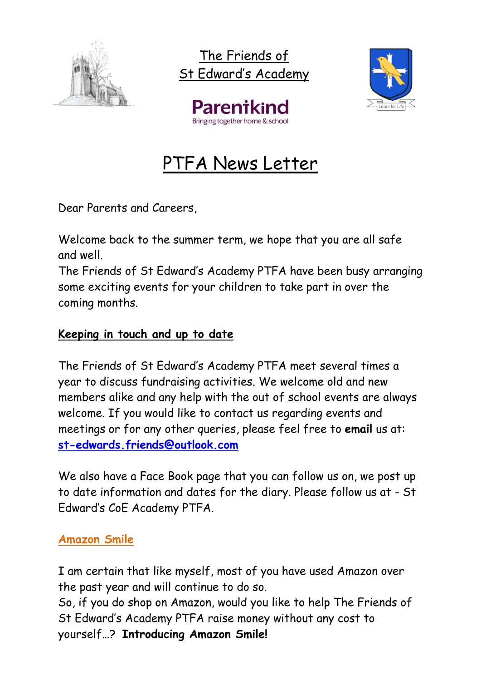

The Friends of St Edward's Academy



Parentkil

# PTFA News Letter

Dear Parents and Careers,

Welcome back to the summer term, we hope that you are all safe and well.

The Friends of St Edward's Academy PTFA have been busy arranging some exciting events for your children to take part in over the coming months.

#### **Keeping in touch and up to date**

The Friends of St Edward's Academy PTFA meet several times a year to discuss fundraising activities. We welcome old and new members alike and any help with the out of school events are always welcome. If you would like to contact us regarding events and meetings or for any other queries, please feel free to **email** us at: **[st-edwards.friends@outlook.com](mailto:st-edwards.friends@outlook.com)**

We also have a Face Book page that you can follow us on, we post up to date information and dates for the diary. Please follow us at - St Edward's CoE Academy PTFA.

### **Amazon Smile**

I am certain that like myself, most of you have used Amazon over the past year and will continue to do so.

So, if you do shop on Amazon, would you like to help The Friends of St Edward's Academy PTFA raise money without any cost to yourself…? **Introducing Amazon Smile!**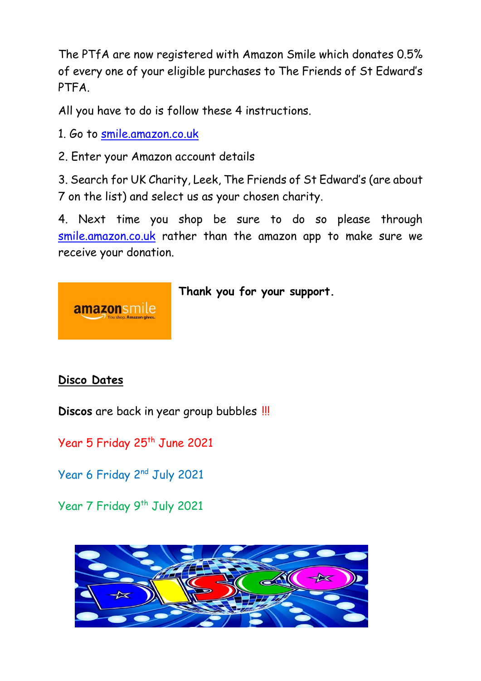The PTfA are now registered with Amazon Smile which donates 0.5% of every one of your eligible purchases to The Friends of St Edward's PTFA.

All you have to do is follow these 4 instructions.

1. Go to [smile.amazon.co.uk](https://smile.amazon.co.uk/about/ref=footer_smi_se_ft_abt_saas)

2. Enter your Amazon account details

3. Search for UK Charity, Leek, The Friends of St Edward's (are about 7 on the list) and select us as your chosen charity.

4. Next time you shop be sure to do so please through [smile.amazon.co.uk](https://smile.amazon.co.uk/about/ref=footer_smi_se_ft_abt_saas) rather than the amazon app to make sure we receive your donation.

## **Thank you for your support.**



amazonsmile

**Discos** are back in year group bubbles !!!

Year 5 Friday 25<sup>th</sup> June 2021

Year 6 Friday 2nd July 2021

Year 7 Friday 9<sup>th</sup> July 2021